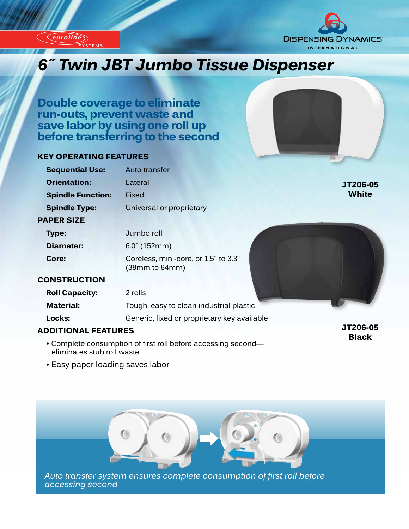



# *Innovation of Twin JBT Jumbo Tissue Dispenser*

**Double coverage to eliminate run-outs, prevent waste and save labor by using one roll up before transferring to the second**

#### **KEY OPERATING FEATURES**

SYSTEMS

*euroline*

*euroline*



## **ADDITIONAL FEATURES**

• Complete consumption of first roll before accessing second eliminates stub roll waste

**JT206-05 Black**

• Easy paper loading saves labor



*Auto transfer system ensures complete consumption of first roll before accessing second*